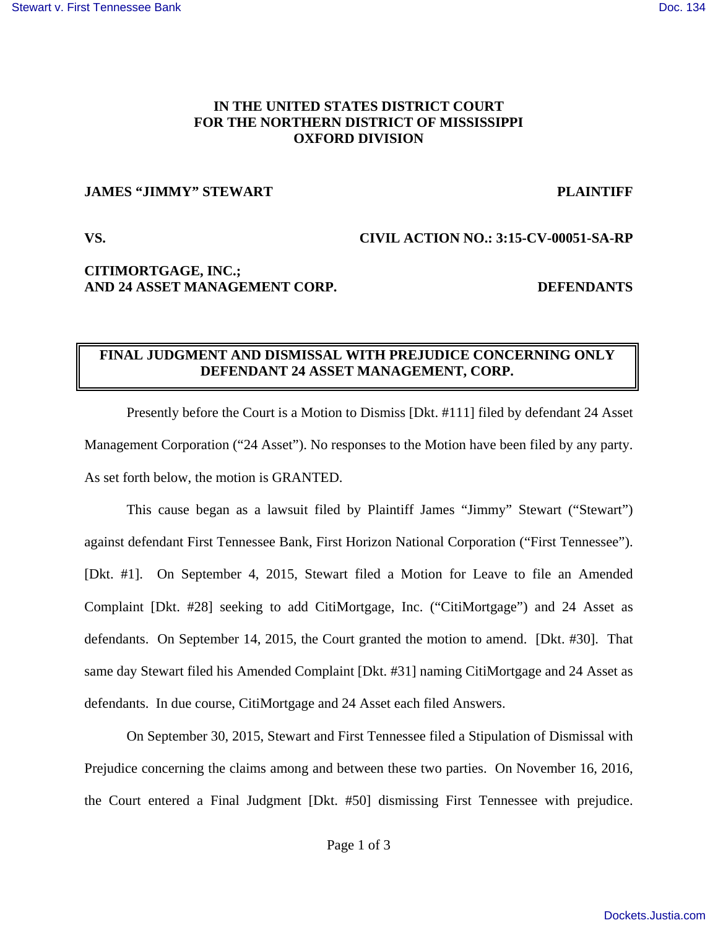## **IN THE UNITED STATES DISTRICT COURT FOR THE NORTHERN DISTRICT OF MISSISSIPPI OXFORD DIVISION**

### **JAMES "JIMMY" STEWART PLAINTIFF**

### **VS. CIVIL ACTION NO.: 3:15-CV-00051-SA-RP**

# **CITIMORTGAGE, INC.; AND 24 ASSET MANAGEMENT CORP. DEFENDANTS**

# **FINAL JUDGMENT AND DISMISSAL WITH PREJUDICE CONCERNING ONLY DEFENDANT 24 ASSET MANAGEMENT, CORP.**

Presently before the Court is a Motion to Dismiss [Dkt. #111] filed by defendant 24 Asset Management Corporation ("24 Asset"). No responses to the Motion have been filed by any party. As set forth below, the motion is GRANTED.

 This cause began as a lawsuit filed by Plaintiff James "Jimmy" Stewart ("Stewart") against defendant First Tennessee Bank, First Horizon National Corporation ("First Tennessee"). [Dkt. #1]. On September 4, 2015, Stewart filed a Motion for Leave to file an Amended Complaint [Dkt. #28] seeking to add CitiMortgage, Inc. ("CitiMortgage") and 24 Asset as defendants. On September 14, 2015, the Court granted the motion to amend. [Dkt. #30]. That same day Stewart filed his Amended Complaint [Dkt. #31] naming CitiMortgage and 24 Asset as defendants. In due course, CitiMortgage and 24 Asset each filed Answers.

 On September 30, 2015, Stewart and First Tennessee filed a Stipulation of Dismissal with Prejudice concerning the claims among and between these two parties. On November 16, 2016, the Court entered a Final Judgment [Dkt. #50] dismissing First Tennessee with prejudice.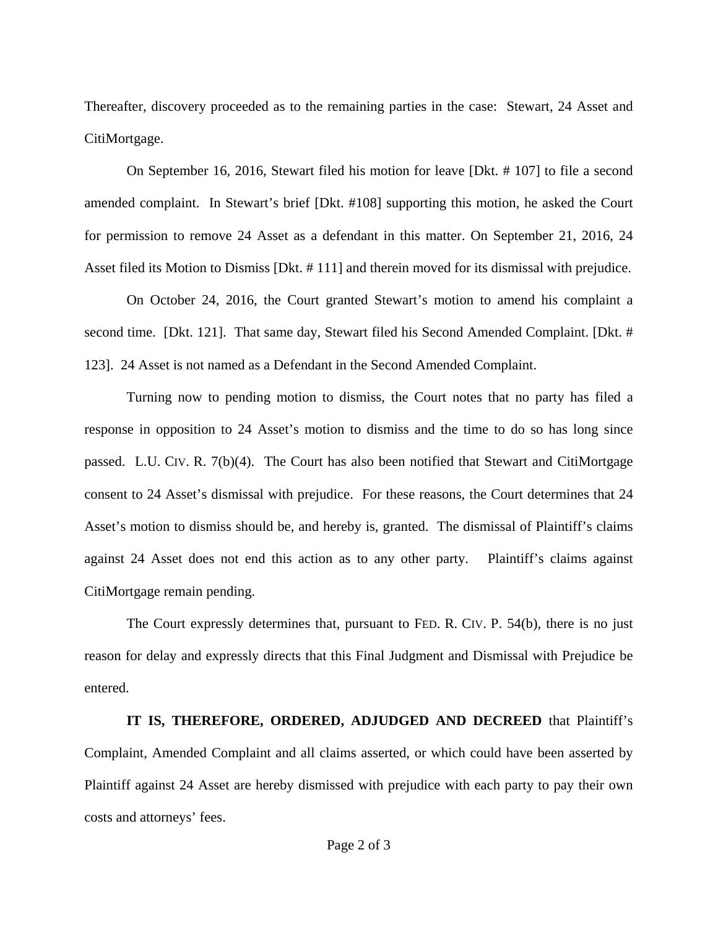Thereafter, discovery proceeded as to the remaining parties in the case: Stewart, 24 Asset and CitiMortgage.

 On September 16, 2016, Stewart filed his motion for leave [Dkt. # 107] to file a second amended complaint. In Stewart's brief [Dkt. #108] supporting this motion, he asked the Court for permission to remove 24 Asset as a defendant in this matter. On September 21, 2016, 24 Asset filed its Motion to Dismiss [Dkt. # 111] and therein moved for its dismissal with prejudice.

 On October 24, 2016, the Court granted Stewart's motion to amend his complaint a second time. [Dkt. 121]. That same day, Stewart filed his Second Amended Complaint. [Dkt. # 123]. 24 Asset is not named as a Defendant in the Second Amended Complaint.

 Turning now to pending motion to dismiss, the Court notes that no party has filed a response in opposition to 24 Asset's motion to dismiss and the time to do so has long since passed. L.U. CIV. R. 7(b)(4). The Court has also been notified that Stewart and CitiMortgage consent to 24 Asset's dismissal with prejudice. For these reasons, the Court determines that 24 Asset's motion to dismiss should be, and hereby is, granted. The dismissal of Plaintiff's claims against 24 Asset does not end this action as to any other party. Plaintiff's claims against CitiMortgage remain pending.

The Court expressly determines that, pursuant to FED. R. CIV. P. 54(b), there is no just reason for delay and expressly directs that this Final Judgment and Dismissal with Prejudice be entered.

### **IT IS, THEREFORE, ORDERED, ADJUDGED AND DECREED** that Plaintiff's

Complaint, Amended Complaint and all claims asserted, or which could have been asserted by Plaintiff against 24 Asset are hereby dismissed with prejudice with each party to pay their own costs and attorneys' fees.